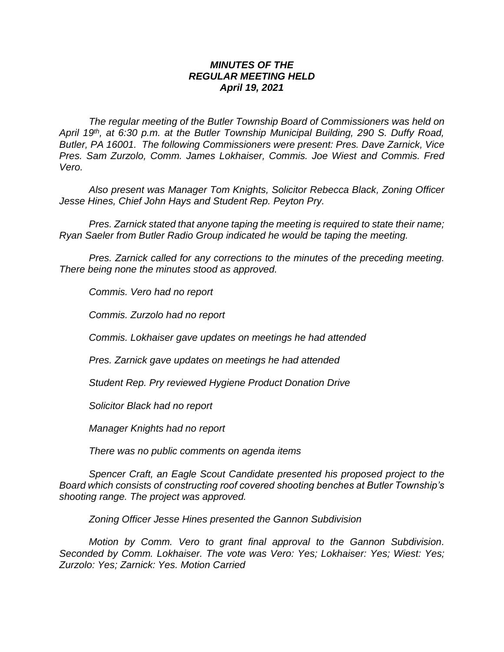## *MINUTES OF THE REGULAR MEETING HELD April 19, 2021*

*The regular meeting of the Butler Township Board of Commissioners was held on April 19th , at 6:30 p.m. at the Butler Township Municipal Building, 290 S. Duffy Road, Butler, PA 16001. The following Commissioners were present: Pres. Dave Zarnick, Vice Pres. Sam Zurzolo, Comm. James Lokhaiser, Commis. Joe Wiest and Commis. Fred Vero.*

*Also present was Manager Tom Knights, Solicitor Rebecca Black, Zoning Officer Jesse Hines, Chief John Hays and Student Rep. Peyton Pry.*

*Pres. Zarnick stated that anyone taping the meeting is required to state their name; Ryan Saeler from Butler Radio Group indicated he would be taping the meeting.*

*Pres. Zarnick called for any corrections to the minutes of the preceding meeting. There being none the minutes stood as approved.*

*Commis. Vero had no report*

*Commis. Zurzolo had no report*

*Commis. Lokhaiser gave updates on meetings he had attended*

*Pres. Zarnick gave updates on meetings he had attended*

*Student Rep. Pry reviewed Hygiene Product Donation Drive* 

*Solicitor Black had no report*

*Manager Knights had no report*

*There was no public comments on agenda items*

*Spencer Craft, an Eagle Scout Candidate presented his proposed project to the Board which consists of constructing roof covered shooting benches at Butler Township's shooting range. The project was approved.*

*Zoning Officer Jesse Hines presented the Gannon Subdivision*

*Motion by Comm. Vero to grant final approval to the Gannon Subdivision. Seconded by Comm. Lokhaiser. The vote was Vero: Yes; Lokhaiser: Yes; Wiest: Yes; Zurzolo: Yes; Zarnick: Yes. Motion Carried*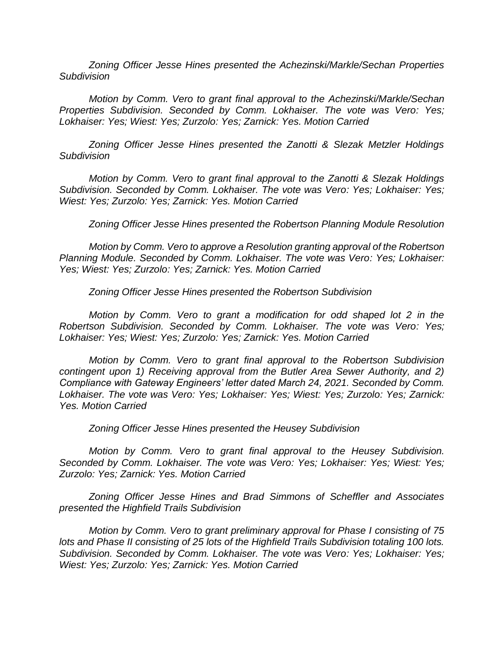*Zoning Officer Jesse Hines presented the Achezinski/Markle/Sechan Properties Subdivision*

*Motion by Comm. Vero to grant final approval to the Achezinski/Markle/Sechan Properties Subdivision. Seconded by Comm. Lokhaiser. The vote was Vero: Yes; Lokhaiser: Yes; Wiest: Yes; Zurzolo: Yes; Zarnick: Yes. Motion Carried*

*Zoning Officer Jesse Hines presented the Zanotti & Slezak Metzler Holdings Subdivision*

*Motion by Comm. Vero to grant final approval to the Zanotti & Slezak Holdings Subdivision. Seconded by Comm. Lokhaiser. The vote was Vero: Yes; Lokhaiser: Yes; Wiest: Yes; Zurzolo: Yes; Zarnick: Yes. Motion Carried*

*Zoning Officer Jesse Hines presented the Robertson Planning Module Resolution*

*Motion by Comm. Vero to approve a Resolution granting approval of the Robertson Planning Module. Seconded by Comm. Lokhaiser. The vote was Vero: Yes; Lokhaiser: Yes; Wiest: Yes; Zurzolo: Yes; Zarnick: Yes. Motion Carried*

*Zoning Officer Jesse Hines presented the Robertson Subdivision*

*Motion by Comm. Vero to grant a modification for odd shaped lot 2 in the Robertson Subdivision. Seconded by Comm. Lokhaiser. The vote was Vero: Yes; Lokhaiser: Yes; Wiest: Yes; Zurzolo: Yes; Zarnick: Yes. Motion Carried*

*Motion by Comm. Vero to grant final approval to the Robertson Subdivision contingent upon 1) Receiving approval from the Butler Area Sewer Authority, and 2) Compliance with Gateway Engineers' letter dated March 24, 2021. Seconded by Comm. Lokhaiser. The vote was Vero: Yes; Lokhaiser: Yes; Wiest: Yes; Zurzolo: Yes; Zarnick: Yes. Motion Carried*

*Zoning Officer Jesse Hines presented the Heusey Subdivision*

*Motion by Comm. Vero to grant final approval to the Heusey Subdivision. Seconded by Comm. Lokhaiser. The vote was Vero: Yes; Lokhaiser: Yes; Wiest: Yes; Zurzolo: Yes; Zarnick: Yes. Motion Carried*

*Zoning Officer Jesse Hines and Brad Simmons of Scheffler and Associates presented the Highfield Trails Subdivision*

*Motion by Comm. Vero to grant preliminary approval for Phase I consisting of 75 lots and Phase II consisting of 25 lots of the Highfield Trails Subdivision totaling 100 lots. Subdivision. Seconded by Comm. Lokhaiser. The vote was Vero: Yes; Lokhaiser: Yes; Wiest: Yes; Zurzolo: Yes; Zarnick: Yes. Motion Carried*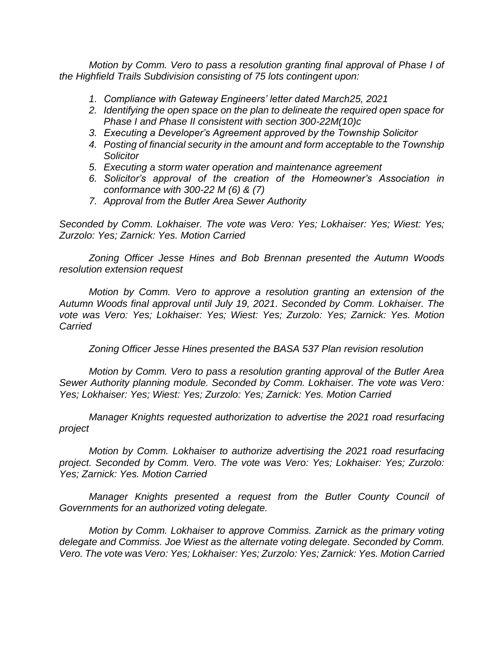*Motion by Comm. Vero to pass a resolution granting final approval of Phase I of the Highfield Trails Subdivision consisting of 75 lots contingent upon:*

- *1. Compliance with Gateway Engineers' letter dated March25, 2021*
- *2. Identifying the open space on the plan to delineate the required open space for Phase I and Phase II consistent with section 300-22M(10)c*
- *3. Executing a Developer's Agreement approved by the Township Solicitor*
- *4. Posting of financial security in the amount and form acceptable to the Township Solicitor*
- *5. Executing a storm water operation and maintenance agreement*
- *6. Solicitor's approval of the creation of the Homeowner's Association in conformance with 300-22 M (6) & (7)*
- *7. Approval from the Butler Area Sewer Authority*

*Seconded by Comm. Lokhaiser. The vote was Vero: Yes; Lokhaiser: Yes; Wiest: Yes; Zurzolo: Yes; Zarnick: Yes. Motion Carried*

*Zoning Officer Jesse Hines and Bob Brennan presented the Autumn Woods resolution extension request*

*Motion by Comm. Vero to approve a resolution granting an extension of the Autumn Woods final approval until July 19, 2021. Seconded by Comm. Lokhaiser. The vote was Vero: Yes; Lokhaiser: Yes; Wiest: Yes; Zurzolo: Yes; Zarnick: Yes. Motion Carried*

*Zoning Officer Jesse Hines presented the BASA 537 Plan revision resolution*

*Motion by Comm. Vero to pass a resolution granting approval of the Butler Area Sewer Authority planning module. Seconded by Comm. Lokhaiser. The vote was Vero: Yes; Lokhaiser: Yes; Wiest: Yes; Zurzolo: Yes; Zarnick: Yes. Motion Carried*

*Manager Knights requested authorization to advertise the 2021 road resurfacing project*

*Motion by Comm. Lokhaiser to authorize advertising the 2021 road resurfacing project. Seconded by Comm. Vero. The vote was Vero: Yes; Lokhaiser: Yes; Zurzolo: Yes; Zarnick: Yes. Motion Carried*

*Manager Knights presented a request from the Butler County Council of Governments for an authorized voting delegate.*

*Motion by Comm. Lokhaiser to approve Commiss. Zarnick as the primary voting delegate and Commiss. Joe Wiest as the alternate voting delegate. Seconded by Comm. Vero. The vote was Vero: Yes; Lokhaiser: Yes; Zurzolo: Yes; Zarnick: Yes. Motion Carried*